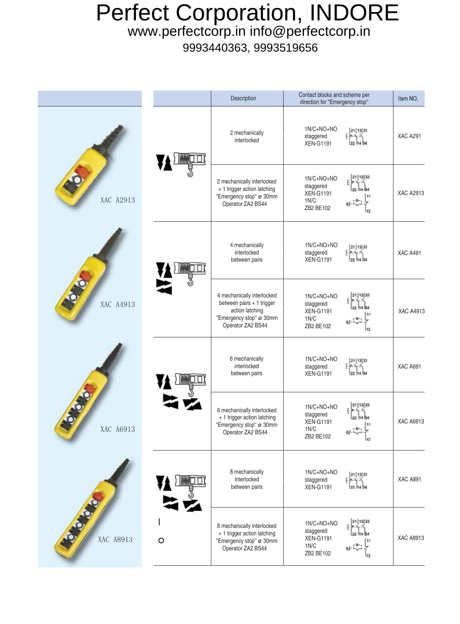## Perfect Corporation, INDORE

www.perfectcorp.in info@perfectcorp.in

9993440363, 9993519656

|           |         | Description                                                                                                                | Contact blocks and scheme per<br>direction for "Emergency stop"                        | Item NO.         |
|-----------|---------|----------------------------------------------------------------------------------------------------------------------------|----------------------------------------------------------------------------------------|------------------|
| XAC A2913 |         | 2 mechanically<br>interlocked                                                                                              | 1N/C+NO+NO<br>21   13   33<br>staggered<br><b>XEN-G1191</b><br>22 14 34                | <b>XAC A291</b>  |
|           |         | 2 mechanically interlocked<br>+ 1 trigger action latching<br>"Emergency stop" ø 30mm<br>Operator ZA2 BS44                  | 21   13   33<br>1N/C+NO+NO<br>staggered<br><b>XEN-G1191</b><br>1N/C<br>ZB2 BE102       | <b>XAC A2913</b> |
| XAC A4913 |         | 4 mechanically<br>interlocked<br>between pairs                                                                             | 1N/C+NO+NO<br>21   13 33<br>staggered<br>メデン<br><b>XEN-G1191</b><br>22 14 34           | <b>XAC A491</b>  |
|           |         | 4 mechanically interlocked<br>between pairs + 1 trigger<br>action latching<br>"Emergency stop" ø 30mm<br>Operator ZA2 BS44 | 21   13   33<br>1N/C+NO+NO<br>staggered<br><b>XEN-G1191</b><br>1N/C<br>ZB2 BE102       | <b>XAC A4913</b> |
| XAC A6913 |         | 6 mechanically<br>interlocked<br>between pairs                                                                             | 1N/C+NO+NO<br>21 13 33<br>staggered<br><b>XEN-G1191</b><br>22 14 34                    | <b>XAC A691</b>  |
|           |         | 6 mechanically interlocked<br>+ 1 trigger action latching<br>"Emergency stop" ø 30mm<br>Operator ZA2 BS44                  | 21   13   33<br>1N/C+NO+NO<br>staggered<br><b>XEN-G1191</b><br>1N/C<br>ZB2 BE102<br>12 | <b>XAC A6913</b> |
| XAC A8913 | $\circ$ | 8 mechanically<br>interlocked<br>between pairs                                                                             | 1N/C+NO+NO<br>21 13 33<br>staggered<br><b>XEN-G1191</b><br>122 114 B4                  | <b>XAC A891</b>  |
|           |         | 8 mechanically interlocked<br>+ 1 trigger action latching<br>"Emergency stop" ø 30mm<br>Operator ZA2 BS44                  | 21 13 33<br>1N/C+NO+NO<br>staggered<br><b>XEN-G1191</b><br>1N/C<br>ZB2 BE102           | <b>XAC A8913</b> |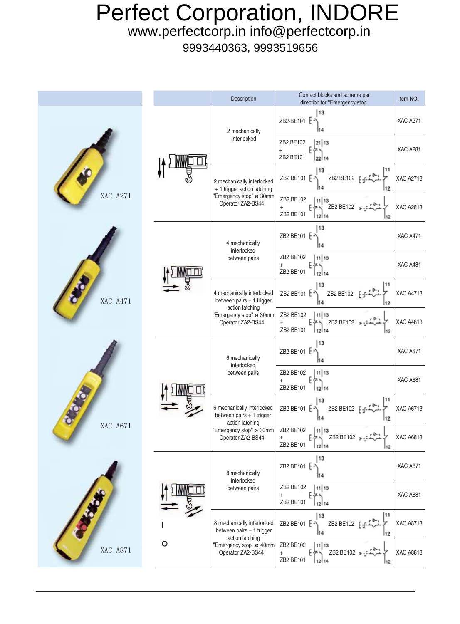## Perfect Corporation, INDORE

www.perfectcorp.in info@perfectcorp.in

9993440363, 9993519656

|                       |         | Description                                                                                                                | Contact blocks and scheme per<br>direction for "Emergency stop"             | Item NO.         |
|-----------------------|---------|----------------------------------------------------------------------------------------------------------------------------|-----------------------------------------------------------------------------|------------------|
| XAC A271              |         | 2 mechanically<br>interlocked                                                                                              | 13<br>ZB2-BE101 [-<br>11 4                                                  | <b>XAC A271</b>  |
|                       |         |                                                                                                                            | ZB2 BE102<br> 21 13<br>$\boldsymbol{+}$<br>ZB2 BE101                        | <b>XAC A281</b>  |
|                       |         | 2 mechanically interlocked<br>+ 1 trigger action latching<br>"Emergency stop" ø 30mm<br>Operator ZA2-BS44                  | 11<br>13<br>ZB2 BE102<br>ZB2 BE101 [ -<br>112                               | <b>XAC A2713</b> |
|                       |         |                                                                                                                            | ZB2 BE102<br>11 13<br>ZB2 BE102<br>$^{+}$<br>ZB2 BE101<br>12114<br>112      | <b>XAC A2813</b> |
|                       |         | 4 mechanically<br>interlocked<br>between pairs                                                                             | 13<br>ZB2 BE101 [-<br>H4                                                    | XAC A471         |
| XAC A471              |         |                                                                                                                            | ZB2 BE102<br>11 13<br>ZB2 BE101<br>12114                                    | <b>XAC A481</b>  |
|                       |         | 4 mechanically interlocked<br>between pairs + 1 trigger<br>action latching<br>"Emergency stop" ø 30mm<br>Operator ZA2-BS44 | 11<br>13<br>ZB2 BE101 E <sup>-</sup><br>ZB2 BE102<br>M4<br>112              | <b>XAC A4713</b> |
|                       |         |                                                                                                                            | ZB2 BE102<br>11 13<br>ZB2 BE102<br>$\ddot{}$<br>ZB2 BE101<br>12114<br>12    | <b>XAC A4813</b> |
| $\bullet$<br>XAC A671 |         | 6 mechanically<br>interlocked<br>between pairs                                                                             | 13<br>ZB2 BE101 $E =$<br>14                                                 | <b>XAC A671</b>  |
|                       |         |                                                                                                                            | ZB2 BE102<br>11 13<br>$+$<br>ZB2 BE101<br>12 14                             | XAC A681         |
|                       |         | 6 mechanically interlocked<br>between pairs + 1 trigger<br>action latching<br>"Emergency stop" ø 30mm<br>Operator ZA2-BS44 | 13<br>11<br>ZB2 BE101 E-<br>ZB2 BE102 F<br>H4<br>12                         | <b>XAC A6713</b> |
|                       |         |                                                                                                                            | ZB2 BE102<br> 11 13<br>ZB2 BE102 Q-<br>$^+$<br>ZB2 BE101<br>$12$ 14<br>112  | XAC A6813        |
| XAC A871              | $\circ$ | 8 mechanically<br>interlocked<br>between pairs                                                                             | 13<br>ZB2 BE101 [-2]<br>H4                                                  | XAC A871         |
|                       |         |                                                                                                                            | ZB2 BE102<br>11 13<br>$\ddot{}$<br>ZB2 BE101<br>12114                       | XAC A881         |
|                       |         | 8 mechanically interlocked<br>between pairs + 1 trigger<br>action latching<br>"Emergency stop" ø 40mm<br>Operator ZA2-BS44 | 11<br>13<br>ZB2 BE102 F-F<br>ZB2 BE101 E-<br>H4<br>12                       | <b>XAC A8713</b> |
|                       |         |                                                                                                                            | ZB2 BE102<br>11 13<br>ZB2 BE102 +-<br>$^{+}$<br>ZB2 BE101<br>$12$ 14<br>112 | <b>XAC A8813</b> |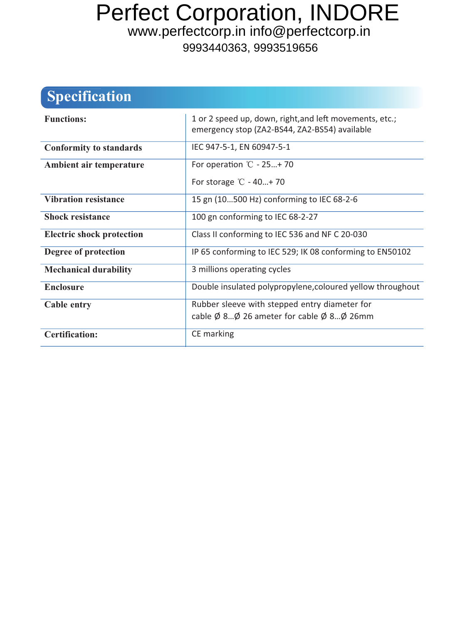## Perfect Corporation, INDORE

www.perfectcorp.in info@perfectcorp.in

9993440363, 9993519656

## **Specification**

| <b>Functions:</b>                | 1 or 2 speed up, down, right, and left movements, etc.;<br>emergency stop (ZA2-BS44, ZA2-BS54) available |
|----------------------------------|----------------------------------------------------------------------------------------------------------|
| <b>Conformity to standards</b>   | IEC 947-5-1, EN 60947-5-1                                                                                |
| Ambient air temperature          | For operation $\degree$ C - 25+70                                                                        |
|                                  | For storage $\degree$ C - 40+70                                                                          |
| <b>Vibration resistance</b>      | 15 gn (10500 Hz) conforming to IEC 68-2-6                                                                |
| <b>Shock resistance</b>          | 100 gn conforming to IEC 68-2-27                                                                         |
| <b>Electric shock protection</b> | Class II conforming to IEC 536 and NF C 20-030                                                           |
| Degree of protection             | IP 65 conforming to IEC 529; IK 08 conforming to EN50102                                                 |
| <b>Mechanical durability</b>     | 3 millions operating cycles                                                                              |
| <b>Enclosure</b>                 | Double insulated polypropylene, coloured yellow throughout                                               |
| <b>Cable entry</b>               | Rubber sleeve with stepped entry diameter for                                                            |
|                                  | cable $\emptyset$ 8 $\emptyset$ 26 ameter for cable $\emptyset$ 8 $\emptyset$ 26mm                       |
| <b>Certification:</b>            | CE marking                                                                                               |